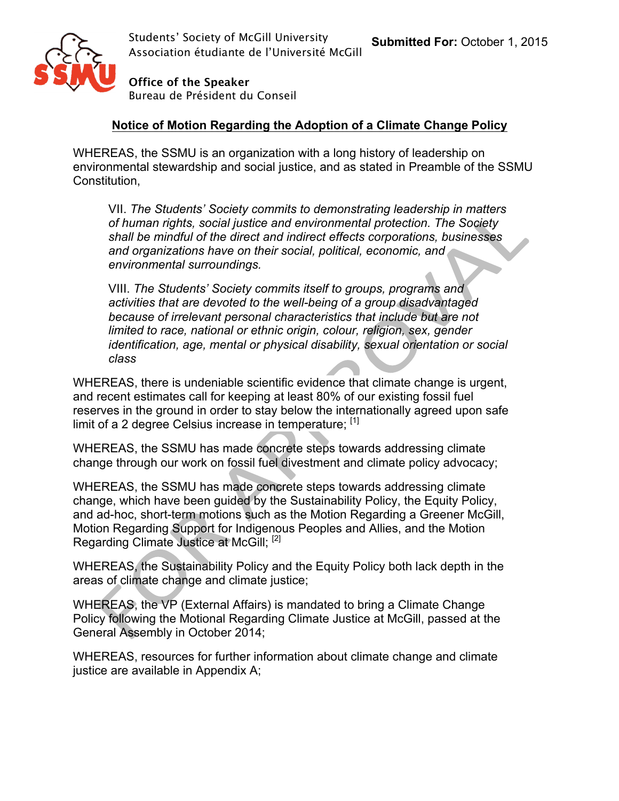

**Office of the Speaker** Bureau de Président du Conseil

#### **Notice of Motion Regarding the Adoption of a Climate Change Policy**

WHEREAS, the SSMU is an organization with a long history of leadership on environmental stewardship and social justice, and as stated in Preamble of the SSMU Constitution,

VII. *The Students' Society commits to demonstrating leadership in matters of human rights, social justice and environmental protection. The Society shall be mindful of the direct and indirect effects corporations, businesses and organizations have on their social, political, economic, and environmental surroundings.*

VIII. *The Students' Society commits itself to groups, programs and activities that are devoted to the well-being of a group disadvantaged because of irrelevant personal characteristics that include but are not limited to race, national or ethnic origin, colour, religion, sex, gender identification, age, mental or physical disability, sexual orientation or social class*

WHEREAS, there is undeniable scientific evidence that climate change is urgent, and recent estimates call for keeping at least 80% of our existing fossil fuel reserves in the ground in order to stay below the internationally agreed upon safe limit of a 2 degree Celsius increase in temperature;  $[1]$ 

WHEREAS, the SSMU has made concrete steps towards addressing climate change through our work on fossil fuel divestment and climate policy advocacy;

WHEREAS, the SSMU has made concrete steps towards addressing climate change, which have been guided by the Sustainability Policy, the Equity Policy, and ad-hoc, short-term motions such as the Motion Regarding a Greener McGill, Motion Regarding Support for Indigenous Peoples and Allies, and the Motion Regarding Climate Justice at McGill; [2]

WHEREAS, the Sustainability Policy and the Equity Policy both lack depth in the areas of climate change and climate justice;

WHEREAS, the VP (External Affairs) is mandated to bring a Climate Change Policy following the Motional Regarding Climate Justice at McGill, passed at the General Assembly in October 2014;

WHEREAS, resources for further information about climate change and climate justice are available in Appendix A;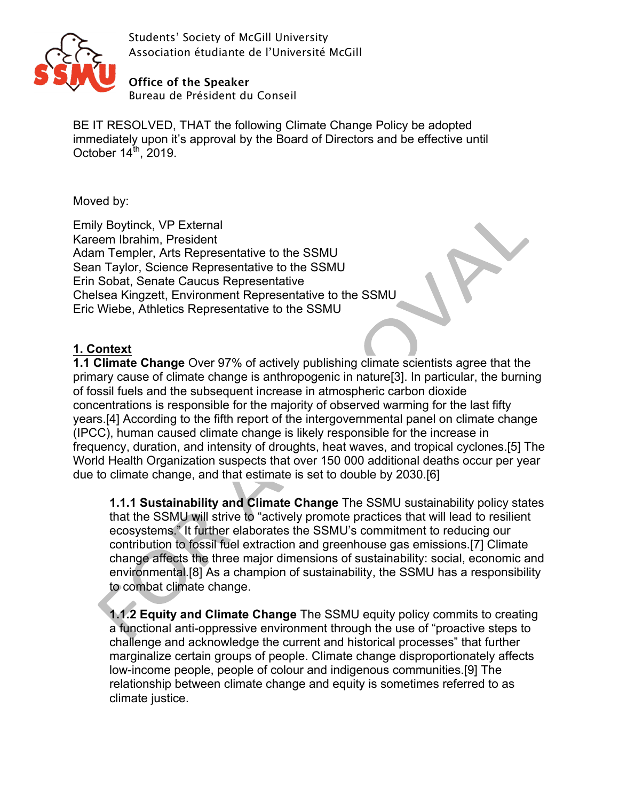

**Office of the Speaker** Bureau de Président du Conseil

BE IT RESOLVED, THAT the following Climate Change Policy be adopted immediately upon it's approval by the Board of Directors and be effective until October  $14^{\text{th}}$ , 2019.

Moved by:

Emily Boytinck, VP External Kareem Ibrahim, President Adam Templer, Arts Representative to the SSMU Sean Taylor, Science Representative to the SSMU Erin Sobat, Senate Caucus Representative Chelsea Kingzett, Environment Representative to the SSMU Eric Wiebe, Athletics Representative to the SSMU

# **1. Context**

**1.1 Climate Change** Over 97% of actively publishing climate scientists agree that the primary cause of climate change is anthropogenic in nature[3]. In particular, the burning of fossil fuels and the subsequent increase in atmospheric carbon dioxide concentrations is responsible for the majority of observed warming for the last fifty years.[4] According to the fifth report of the intergovernmental panel on climate change (IPCC), human caused climate change is likely responsible for the increase in frequency, duration, and intensity of droughts, heat waves, and tropical cyclones.[5] The World Health Organization suspects that over 150 000 additional deaths occur per year due to climate change, and that estimate is set to double by 2030.[6]

**1.1.1 Sustainability and Climate Change** The SSMU sustainability policy states that the SSMU will strive to "actively promote practices that will lead to resilient ecosystems." It further elaborates the SSMU's commitment to reducing our contribution to fossil fuel extraction and greenhouse gas emissions.[7] Climate change affects the three major dimensions of sustainability: social, economic and environmental.[8] As a champion of sustainability, the SSMU has a responsibility to combat climate change.

**1.1.2 Equity and Climate Change** The SSMU equity policy commits to creating a functional anti-oppressive environment through the use of "proactive steps to challenge and acknowledge the current and historical processes" that further marginalize certain groups of people. Climate change disproportionately affects low-income people, people of colour and indigenous communities.[9] The relationship between climate change and equity is sometimes referred to as climate justice.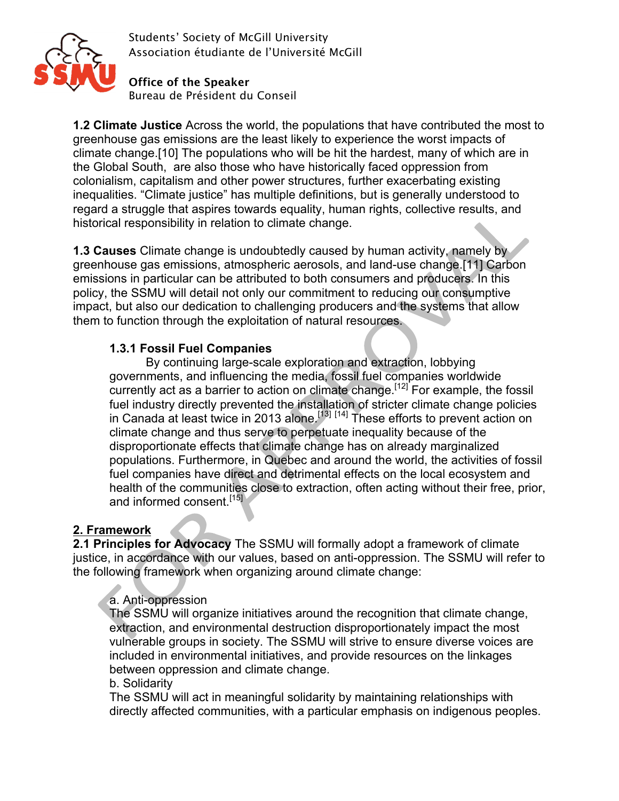

**Office of the Speaker** Bureau de Président du Conseil

**1.2 Climate Justice** Across the world, the populations that have contributed the most to greenhouse gas emissions are the least likely to experience the worst impacts of climate change.[10] The populations who will be hit the hardest, many of which are in the Global South, are also those who have historically faced oppression from colonialism, capitalism and other power structures, further exacerbating existing inequalities. "Climate justice" has multiple definitions, but is generally understood to regard a struggle that aspires towards equality, human rights, collective results, and historical responsibility in relation to climate change.

**1.3 Causes** Climate change is undoubtedly caused by human activity, namely by greenhouse gas emissions, atmospheric aerosols, and land-use change.[11] Carbon emissions in particular can be attributed to both consumers and producers. In this policy, the SSMU will detail not only our commitment to reducing our consumptive impact, but also our dedication to challenging producers and the systems that allow them to function through the exploitation of natural resources.

#### **1.3.1 Fossil Fuel Companies**

By continuing large-scale exploration and extraction, lobbying governments, and influencing the media, fossil fuel companies worldwide currently act as a barrier to action on climate change.<sup>[12]</sup> For example, the fossil fuel industry directly prevented the installation of stricter climate change policies in Canada at least twice in 2013 alone.<sup>[13] [14]</sup> These efforts to prevent action on climate change and thus serve to perpetuate inequality because of the disproportionate effects that climate change has on already marginalized populations. Furthermore, in Quebec and around the world, the activities of fossil fuel companies have direct and detrimental effects on the local ecosystem and health of the communities close to extraction, often acting without their free, prior, and informed consent.<sup>[15]</sup>

## **2. Framework**

**2.1 Principles for Advocacy** The SSMU will formally adopt a framework of climate justice, in accordance with our values, based on anti-oppression. The SSMU will refer to the following framework when organizing around climate change:

#### a. Anti-oppression

The SSMU will organize initiatives around the recognition that climate change, extraction, and environmental destruction disproportionately impact the most vulnerable groups in society. The SSMU will strive to ensure diverse voices are included in environmental initiatives, and provide resources on the linkages between oppression and climate change.

#### b. Solidarity

The SSMU will act in meaningful solidarity by maintaining relationships with directly affected communities, with a particular emphasis on indigenous peoples.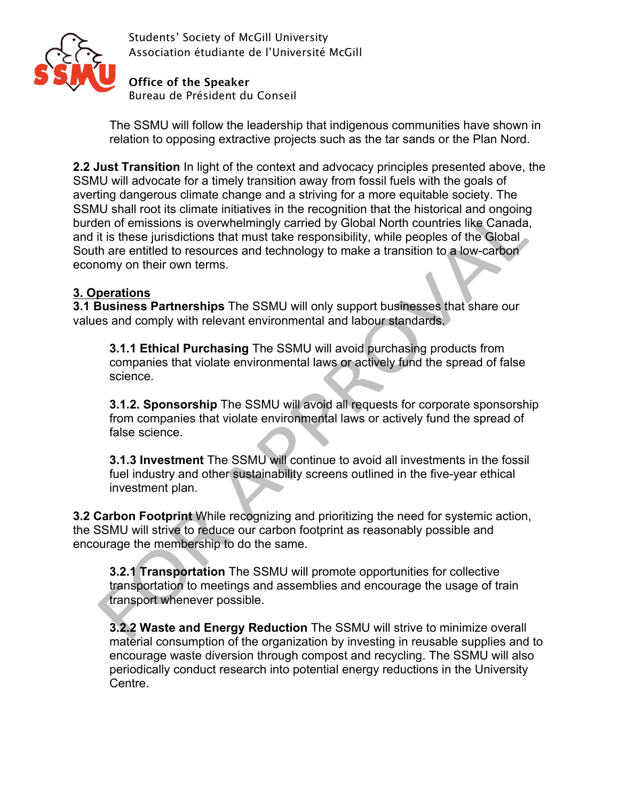

**Office of the Speaker** Bureau de Président du Conseil

The SSMU will follow the leadership that indigenous communities have shown in relation to opposing extractive projects such as the tar sands or the Plan Nord.

**2.2 Just Transition** In light of the context and advocacy principles presented above, the SSMU will advocate for a timely transition away from fossil fuels with the goals of averting dangerous climate change and a striving for a more equitable society. The SSMU shall root its climate initiatives in the recognition that the historical and ongoing burden of emissions is overwhelmingly carried by Global North countries like Canada, and it is these jurisdictions that must take responsibility, while peoples of the Global South are entitled to resources and technology to make a transition to a low-carbon economy on their own terms.

# **3. Operations**

**3.1 Business Partnerships** The SSMU will only support businesses that share our values and comply with relevant environmental and labour standards.

**3.1.1 Ethical Purchasing** The SSMU will avoid purchasing products from companies that violate environmental laws or actively fund the spread of false science.

**3.1.2. Sponsorship** The SSMU will avoid all requests for corporate sponsorship from companies that violate environmental laws or actively fund the spread of false science.

**3.1.3 Investment** The SSMU will continue to avoid all investments in the fossil fuel industry and other sustainability screens outlined in the five-year ethical investment plan.

**3.2 Carbon Footprint** While recognizing and prioritizing the need for systemic action, the SSMU will strive to reduce our carbon footprint as reasonably possible and encourage the membership to do the same.

**3.2.1 Transportation** The SSMU will promote opportunities for collective transportation to meetings and assemblies and encourage the usage of train transport whenever possible.

**3.2.2 Waste and Energy Reduction** The SSMU will strive to minimize overall material consumption of the organization by investing in reusable supplies and to encourage waste diversion through compost and recycling. The SSMU will also periodically conduct research into potential energy reductions in the University Centre.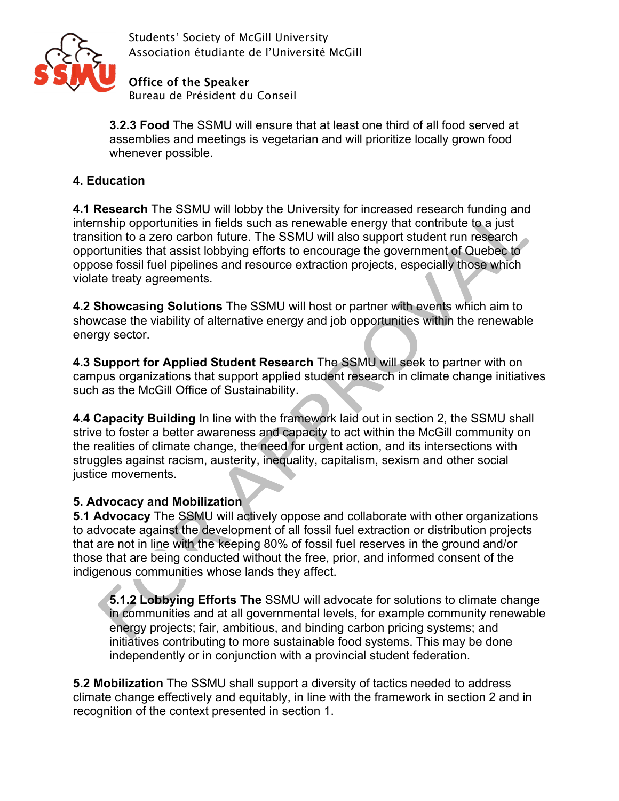

**Office of the Speaker** Bureau de Président du Conseil

**3.2.3 Food** The SSMU will ensure that at least one third of all food served at assemblies and meetings is vegetarian and will prioritize locally grown food whenever possible.

# **4. Education**

**4.1 Research** The SSMU will lobby the University for increased research funding and internship opportunities in fields such as renewable energy that contribute to a just transition to a zero carbon future. The SSMU will also support student run research opportunities that assist lobbying efforts to encourage the government of Quebec to oppose fossil fuel pipelines and resource extraction projects, especially those which violate treaty agreements.

**4.2 Showcasing Solutions** The SSMU will host or partner with events which aim to showcase the viability of alternative energy and job opportunities within the renewable energy sector.

**4.3 Support for Applied Student Research** The SSMU will seek to partner with on campus organizations that support applied student research in climate change initiatives such as the McGill Office of Sustainability.

**4.4 Capacity Building** In line with the framework laid out in section 2, the SSMU shall strive to foster a better awareness and capacity to act within the McGill community on the realities of climate change, the need for urgent action, and its intersections with struggles against racism, austerity, inequality, capitalism, sexism and other social justice movements.

## **5. Advocacy and Mobilization**

**5.1 Advocacy** The SSMU will actively oppose and collaborate with other organizations to advocate against the development of all fossil fuel extraction or distribution projects that are not in line with the keeping 80% of fossil fuel reserves in the ground and/or those that are being conducted without the free, prior, and informed consent of the indigenous communities whose lands they affect.

**5.1.2 Lobbying Efforts The** SSMU will advocate for solutions to climate change in communities and at all governmental levels, for example community renewable energy projects; fair, ambitious, and binding carbon pricing systems; and initiatives contributing to more sustainable food systems. This may be done independently or in conjunction with a provincial student federation.

**5.2 Mobilization** The SSMU shall support a diversity of tactics needed to address climate change effectively and equitably, in line with the framework in section 2 and in recognition of the context presented in section 1.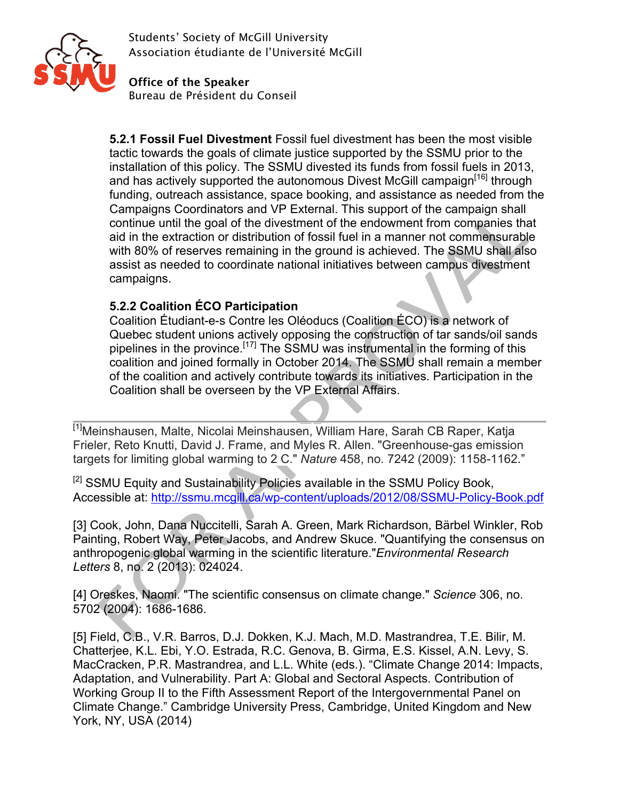

**Office of the Speaker** Bureau de Président du Conseil

**5.2.1 Fossil Fuel Divestment** Fossil fuel divestment has been the most visible tactic towards the goals of climate justice supported by the SSMU prior to the installation of this policy. The SSMU divested its funds from fossil fuels in 2013, and has actively supported the autonomous Divest McGill campaign<sup>[16]</sup> through funding, outreach assistance, space booking, and assistance as needed from the Campaigns Coordinators and VP External. This support of the campaign shall continue until the goal of the divestment of the endowment from companies that aid in the extraction or distribution of fossil fuel in a manner not commensurable with 80% of reserves remaining in the ground is achieved. The SSMU shall also assist as needed to coordinate national initiatives between campus divestment campaigns.

## **5.2.2 Coalition ÉCO Participation**

Coalition Étudiant-e-s Contre les Oléoducs (Coalition ÉCO) is a network of Quebec student unions actively opposing the construction of tar sands/oil sands pipelines in the province.<sup>[17]</sup> The SSMU was instrumental in the forming of this coalition and joined formally in October 2014. The SSMU shall remain a member of the coalition and actively contribute towards its initiatives. Participation in the Coalition shall be overseen by the VP External Affairs.

[1]Meinshausen, Malte, Nicolai Meinshausen, William Hare, Sarah CB Raper, Katja Frieler, Reto Knutti, David J. Frame, and Myles R. Allen. "Greenhouse-gas emission targets for limiting global warming to 2 C." *Nature* 458, no. 7242 (2009): 1158-1162."

[2] SSMU Equity and Sustainability Policies available in the SSMU Policy Book, Accessible at: http://ssmu.mcgill.ca/wp-content/uploads/2012/08/SSMU-Policy-Book.pdf

[3] Cook, John, Dana Nuccitelli, Sarah A. Green, Mark Richardson, Bärbel Winkler, Rob Painting, Robert Way, Peter Jacobs, and Andrew Skuce. "Quantifying the consensus on anthropogenic global warming in the scientific literature."*Environmental Research Letters* 8, no. 2 (2013): 024024.

[4] Oreskes, Naomi. "The scientific consensus on climate change." *Science* 306, no. 5702 (2004): 1686-1686.

[5] Field, C.B., V.R. Barros, D.J. Dokken, K.J. Mach, M.D. Mastrandrea, T.E. Bilir, M. Chatterjee, K.L. Ebi, Y.O. Estrada, R.C. Genova, B. Girma, E.S. Kissel, A.N. Levy, S. MacCracken, P.R. Mastrandrea, and L.L. White (eds.). "Climate Change 2014: Impacts, Adaptation, and Vulnerability. Part A: Global and Sectoral Aspects. Contribution of Working Group II to the Fifth Assessment Report of the Intergovernmental Panel on Climate Change." Cambridge University Press, Cambridge, United Kingdom and New York, NY, USA (2014)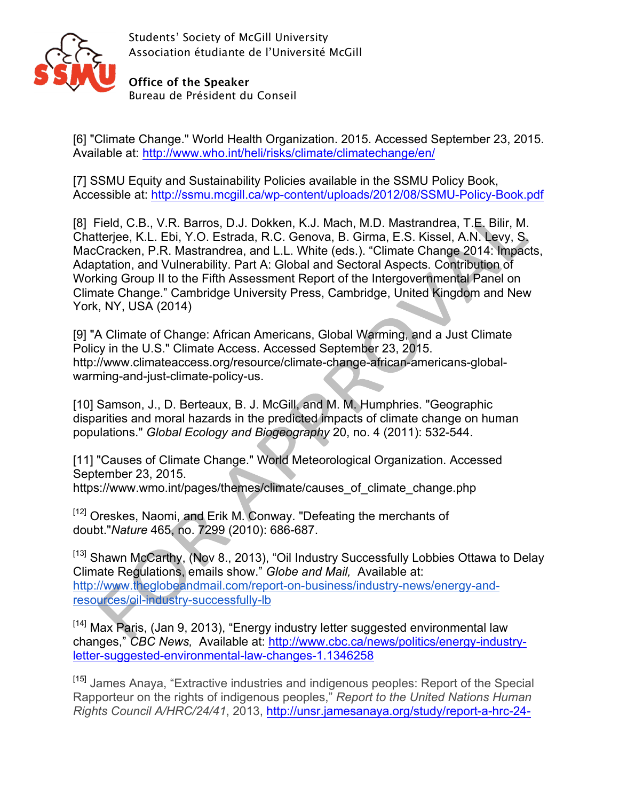

**Office of the Speaker** Bureau de Président du Conseil

[6] "Climate Change." World Health Organization. 2015. Accessed September 23, 2015. Available at: http://www.who.int/heli/risks/climate/climatechange/en/

[7] SSMU Equity and Sustainability Policies available in the SSMU Policy Book, Accessible at: http://ssmu.mcgill.ca/wp-content/uploads/2012/08/SSMU-Policy-Book.pdf

[8] Field, C.B., V.R. Barros, D.J. Dokken, K.J. Mach, M.D. Mastrandrea, T.E. Bilir, M. Chatterjee, K.L. Ebi, Y.O. Estrada, R.C. Genova, B. Girma, E.S. Kissel, A.N. Levy, S. MacCracken, P.R. Mastrandrea, and L.L. White (eds.). "Climate Change 2014: Impacts, Adaptation, and Vulnerability. Part A: Global and Sectoral Aspects. Contribution of Working Group II to the Fifth Assessment Report of the Intergovernmental Panel on Climate Change." Cambridge University Press, Cambridge, United Kingdom and New York, NY, USA (2014)

[9] "A Climate of Change: African Americans, Global Warming, and a Just Climate Policy in the U.S." Climate Access. Accessed September 23, 2015. http://www.climateaccess.org/resource/climate-change-african-americans-globalwarming-and-just-climate-policy-us.

[10] Samson, J., D. Berteaux, B. J. McGill, and M. M. Humphries. "Geographic disparities and moral hazards in the predicted impacts of climate change on human populations." *Global Ecology and Biogeography* 20, no. 4 (2011): 532-544.

[11] "Causes of Climate Change." World Meteorological Organization. Accessed September 23, 2015.

https://www.wmo.int/pages/themes/climate/causes\_of\_climate\_change.php

[12] Oreskes, Naomi, and Erik M. Conway. "Defeating the merchants of doubt."*Nature* 465, no. 7299 (2010): 686-687.

[13] Shawn McCarthy, (Nov 8., 2013), "Oil Industry Successfully Lobbies Ottawa to Delay Climate Regulations, emails show." *Globe and Mail,* Available at: http://www.theglobeandmail.com/report-on-business/industry-news/energy-andresources/oil-industry-successfully-lb

[14] Max Paris, (Jan 9, 2013), "Energy industry letter suggested environmental law changes," *CBC News,* Available at: http://www.cbc.ca/news/politics/energy-industryletter-suggested-environmental-law-changes-1.1346258

[15] James Anaya, "Extractive industries and indigenous peoples: Report of the Special Rapporteur on the rights of indigenous peoples," *Report to the United Nations Human Rights Council A/HRC/24/41*, 2013, http://unsr.jamesanaya.org/study/report-a-hrc-24-